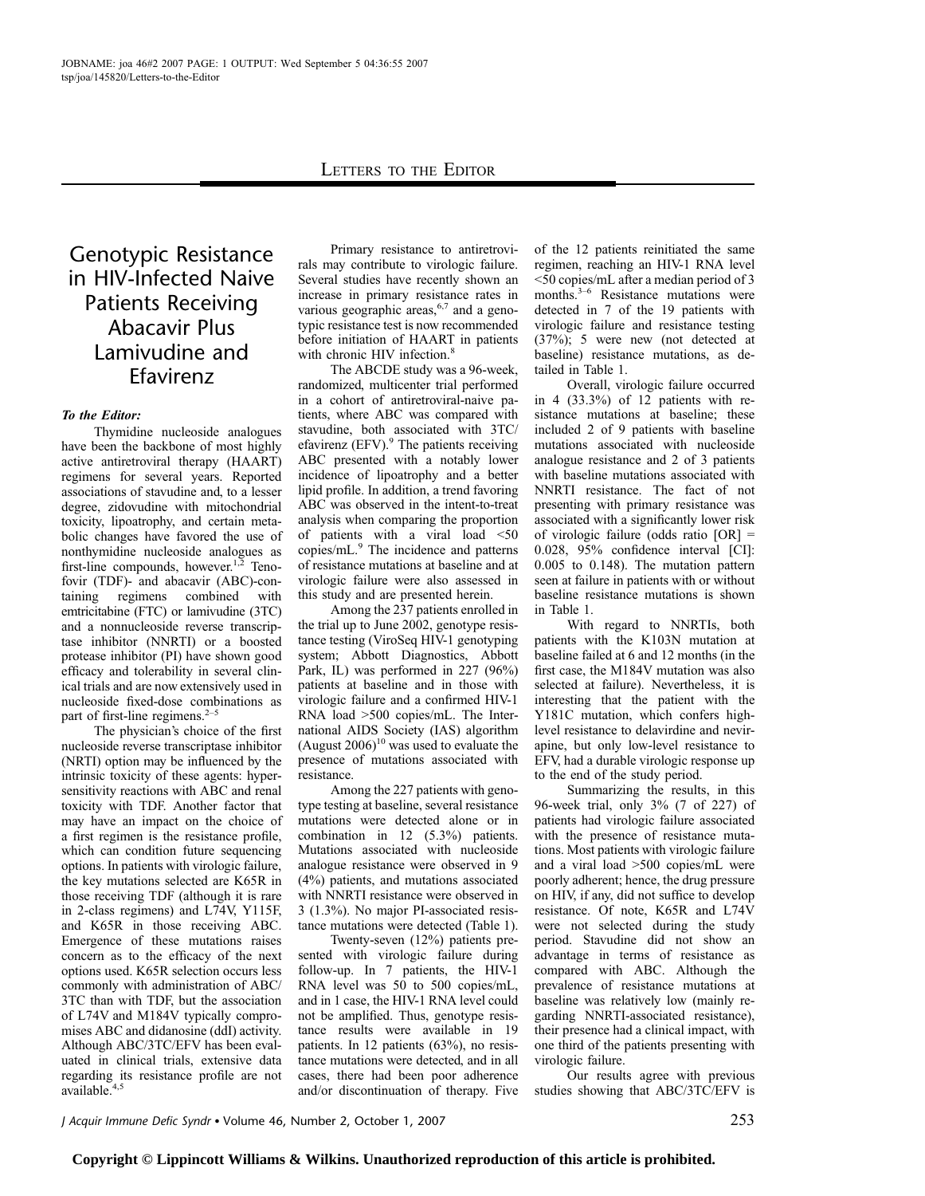# Genotypic Resistance in HIV-Infected Naive Patients Receiving Abacavir Plus Lamivudine and Efavirenz

## To the Editor:

Thymidine nucleoside analogues have been the backbone of most highly active antiretroviral therapy (HAART) regimens for several years. Reported associations of stavudine and, to a lesser degree, zidovudine with mitochondrial toxicity, lipoatrophy, and certain metabolic changes have favored the use of nonthymidine nucleoside analogues as first-line compounds, however. $1,2$  Tenofovir (TDF)- and abacavir (ABC)-containing regimens combined with emtricitabine (FTC) or lamivudine (3TC) and a nonnucleoside reverse transcriptase inhibitor (NNRTI) or a boosted protease inhibitor (PI) have shown good efficacy and tolerability in several clinical trials and are now extensively used in nucleoside fixed-dose combinations as part of first-line regimens. $2-5$ 

The physician's choice of the first nucleoside reverse transcriptase inhibitor (NRTI) option may be influenced by the intrinsic toxicity of these agents: hypersensitivity reactions with ABC and renal toxicity with TDF. Another factor that may have an impact on the choice of a first regimen is the resistance profile, which can condition future sequencing options. In patients with virologic failure, the key mutations selected are K65R in those receiving TDF (although it is rare in 2-class regimens) and L74V, Y115F, and K65R in those receiving ABC. Emergence of these mutations raises concern as to the efficacy of the next options used. K65R selection occurs less commonly with administration of ABC/ 3TC than with TDF, but the association of L74V and M184V typically compromises ABC and didanosine (ddI) activity. Although ABC/3TC/EFV has been evaluated in clinical trials, extensive data regarding its resistance profile are not available.<sup>4,5</sup>

Primary resistance to antiretrovirals may contribute to virologic failure. Several studies have recently shown an increase in primary resistance rates in various geographic areas,<sup>6,7</sup> and a genotypic resistance test is now recommended before initiation of HAART in patients with chronic HIV infection.<sup>8</sup>

The ABCDE study was a 96-week, randomized, multicenter trial performed in a cohort of antiretroviral-naive patients, where ABC was compared with stavudine, both associated with 3TC/ efavirenz (EFV).<sup>9</sup> The patients receiving ABC presented with a notably lower incidence of lipoatrophy and a better lipid profile. In addition, a trend favoring ABC was observed in the intent-to-treat analysis when comparing the proportion of patients with a viral load <50 copies/mL.<sup>9</sup> The incidence and patterns of resistance mutations at baseline and at virologic failure were also assessed in this study and are presented herein.

Among the 237 patients enrolled in the trial up to June 2002, genotype resistance testing (ViroSeq HIV-1 genotyping system; Abbott Diagnostics, Abbott Park, IL) was performed in 227 (96%) patients at baseline and in those with virologic failure and a confirmed HIV-1 RNA load >500 copies/mL. The International AIDS Society (IAS) algorithm (August  $2006$ <sup>10</sup> was used to evaluate the presence of mutations associated with resistance.

Among the 227 patients with genotype testing at baseline, several resistance mutations were detected alone or in combination in 12 (5.3%) patients. Mutations associated with nucleoside analogue resistance were observed in 9 (4%) patients, and mutations associated with NNRTI resistance were observed in 3 (1.3%). No major PI-associated resistance mutations were detected (Table 1).

Twenty-seven (12%) patients presented with virologic failure during follow-up. In 7 patients, the HIV-1 RNA level was 50 to 500 copies/mL, and in 1 case, the HIV-1 RNA level could not be amplified. Thus, genotype resistance results were available in 19 patients. In 12 patients (63%), no resistance mutations were detected, and in all cases, there had been poor adherence and/or discontinuation of therapy. Five

of the 12 patients reinitiated the same regimen, reaching an HIV-1 RNA level <50 copies/mL after a median period of 3 months.<sup>3–6</sup> Resistance mutations were detected in 7 of the 19 patients with virologic failure and resistance testing (37%); 5 were new (not detected at baseline) resistance mutations, as detailed in Table 1.

Overall, virologic failure occurred in 4 (33.3%) of 12 patients with resistance mutations at baseline; these included 2 of 9 patients with baseline mutations associated with nucleoside analogue resistance and 2 of 3 patients with baseline mutations associated with NNRTI resistance. The fact of not presenting with primary resistance was associated with a significantly lower risk of virologic failure (odds ratio [OR] = 0.028, 95% confidence interval [CI]: 0.005 to 0.148). The mutation pattern seen at failure in patients with or without baseline resistance mutations is shown in Table 1.

With regard to NNRTIs, both patients with the K103N mutation at baseline failed at 6 and 12 months (in the first case, the M184V mutation was also selected at failure). Nevertheless, it is interesting that the patient with the Y181C mutation, which confers highlevel resistance to delavirdine and nevirapine, but only low-level resistance to EFV, had a durable virologic response up to the end of the study period.

Summarizing the results, in this 96-week trial, only 3% (7 of 227) of patients had virologic failure associated with the presence of resistance mutations. Most patients with virologic failure and a viral load >500 copies/mL were poorly adherent; hence, the drug pressure on HIV, if any, did not suffice to develop resistance. Of note, K65R and L74V were not selected during the study period. Stavudine did not show an advantage in terms of resistance as compared with ABC. Although the prevalence of resistance mutations at baseline was relatively low (mainly regarding NNRTI-associated resistance), their presence had a clinical impact, with one third of the patients presenting with virologic failure.

Our results agree with previous studies showing that ABC/3TC/EFV is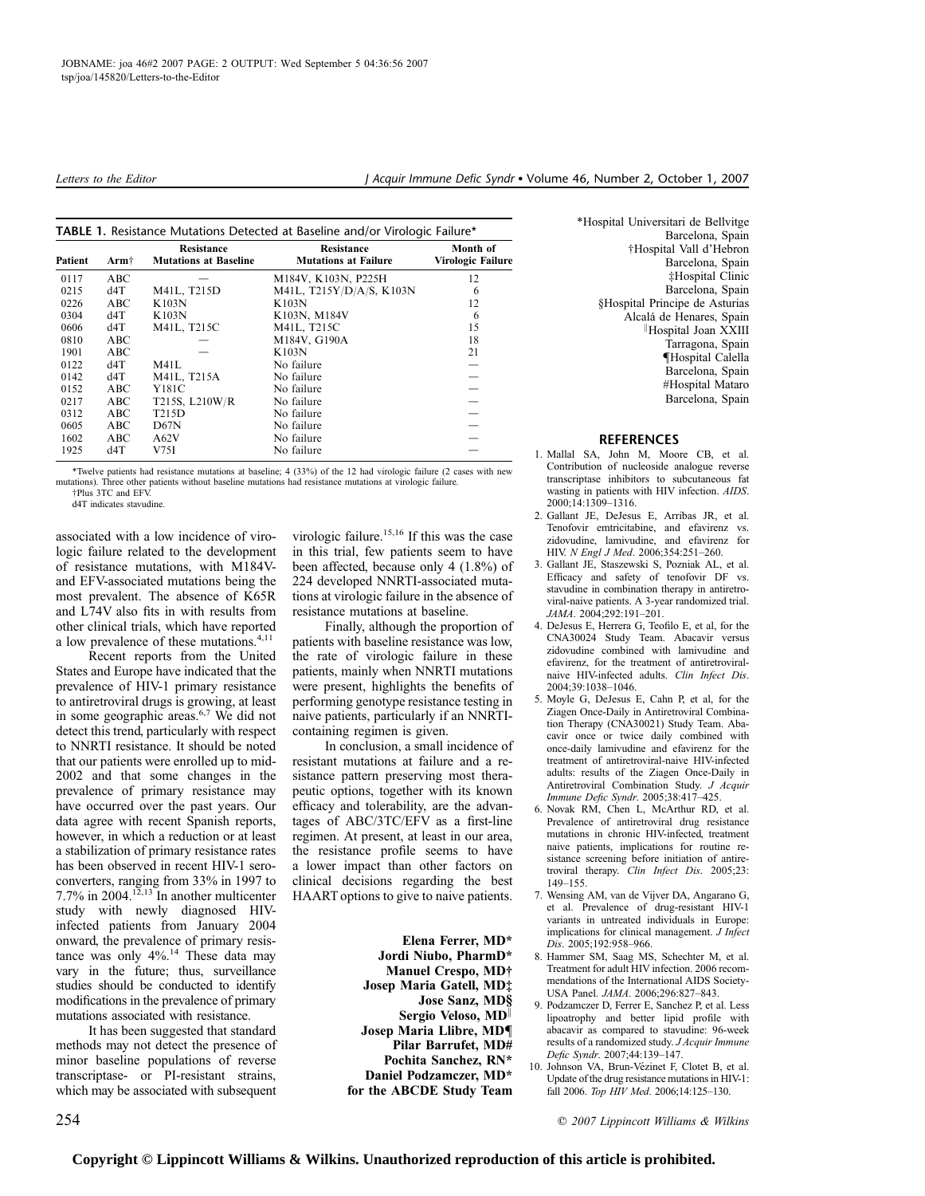| Patient | Arm $\dagger$ | Resistance<br><b>Mutations at Baseline</b> | Resistance<br><b>Mutations at Failure</b> | Month of<br>Virologic Failure |
|---------|---------------|--------------------------------------------|-------------------------------------------|-------------------------------|
| 0117    | ABC           |                                            | M184V, K103N, P225H                       | 12                            |
| 0215    | d4T           | M41L, T215D                                | M41L, T215Y/D/A/S, K103N                  | 6                             |
| 0226    | ABC           | K103N                                      | K103N                                     | 12                            |
| 0304    | d4T           | K103N                                      | K103N, M184V                              | 6                             |
| 0606    | d4T           | M41L, T215C                                | M41L, T215C                               | 15                            |
| 0810    | ABC           |                                            | M184V, G190A                              | 18                            |
| 1901    | ABC           |                                            | K103N                                     | 21                            |
| 0122    | d4T           | M41L                                       | No failure                                |                               |
| 0142    | d4T           | M41L, T215A                                | No failure                                |                               |
| 0152    | ABC           | Y181C                                      | No failure                                |                               |
| 0217    | ABC           | T215S, L210W/R                             | No failure                                |                               |
| 0312    | ABC           | T215D                                      | No failure                                |                               |
| 0605    | ABC           | D67N                                       | No failure                                |                               |
| 1602    | ABC           | A62V                                       | No failure                                |                               |
| 1925    | d4T           | V75I                                       | No failure                                |                               |

\*Twelve patients had resistance mutations at baseline; 4 (33%) of the 12 had virologic failure (2 cases with new mutations). Three other patients without baseline mutations had resistance mutations at virologic failure. †Plus 3TC and EFV.

d4T indicates stavudine.

associated with a low incidence of virologic failure related to the development of resistance mutations, with M184Vand EFV-associated mutations being the most prevalent. The absence of K65R and L74V also fits in with results from other clinical trials, which have reported a low prevalence of these mutations.<sup>4,11</sup>

Recent reports from the United States and Europe have indicated that the prevalence of HIV-1 primary resistance to antiretroviral drugs is growing, at least in some geographic areas.6,7 We did not detect this trend, particularly with respect to NNRTI resistance. It should be noted that our patients were enrolled up to mid-2002 and that some changes in the prevalence of primary resistance may have occurred over the past years. Our data agree with recent Spanish reports, however, in which a reduction or at least a stabilization of primary resistance rates has been observed in recent HIV-1 seroconverters, ranging from 33% in 1997 to 7.7% in  $2004$ .<sup>12,13</sup> In another multicenter study with newly diagnosed HIVinfected patients from January 2004 onward, the prevalence of primary resistance was only 4%.<sup>14</sup> These data may vary in the future; thus, surveillance studies should be conducted to identify modifications in the prevalence of primary mutations associated with resistance.

It has been suggested that standard methods may not detect the presence of minor baseline populations of reverse transcriptase- or PI-resistant strains, which may be associated with subsequent

virologic failure.<sup>15,16</sup> If this was the case in this trial, few patients seem to have been affected, because only 4 (1.8%) of 224 developed NNRTI-associated mutations at virologic failure in the absence of resistance mutations at baseline.

Finally, although the proportion of patients with baseline resistance was low, the rate of virologic failure in these patients, mainly when NNRTI mutations were present, highlights the benefits of performing genotype resistance testing in naive patients, particularly if an NNRTIcontaining regimen is given.

In conclusion, a small incidence of resistant mutations at failure and a resistance pattern preserving most therapeutic options, together with its known efficacy and tolerability, are the advantages of ABC/3TC/EFV as a first-line regimen. At present, at least in our area, the resistance profile seems to have a lower impact than other factors on clinical decisions regarding the best HAART options to give to naive patients.

> Elena Ferrer, MD\* Jordi Niubo, PharmD\* Manuel Crespo, MD† Josep Maria Gatell, MD‡ Jose Sanz, MD§ Sergio Veloso, MD Josep Maria Llibre, MD{ Pilar Barrufet, MD# Pochita Sanchez, RN\* Daniel Podzamczer, MD\* for the ABCDE Study Team

\*Hospital Universitari de Bellvitge Barcelona, Spain †Hospital Vall d'Hebron Barcelona, Spain ‡Hospital Clinic Barcelona, Spain §Hospital Principe de Asturias Alcalá de Henares, Spain <sup>k</sup>Hospital Joan XXIII Tarragona, Spain {Hospital Calella Barcelona, Spain #Hospital Mataro Barcelona, Spain

### **REFERENCES**

- 1. Mallal SA, John M, Moore CB, et al. Contribution of nucleoside analogue reverse transcriptase inhibitors to subcutaneous fat wasting in patients with HIV infection. AIDS. 2000;14:1309–1316.
- 2. Gallant JE, DeJesus E, Arribas JR, et al. Tenofovir emtricitabine, and efavirenz vs. zidovudine, lamivudine, and efavirenz for HIV. N Engl J Med. 2006;354:251–260.
- 3. Gallant JE, Staszewski S, Pozniak AL, et al. Efficacy and safety of tenofovir DF vs. stavudine in combination therapy in antiretroviral-naive patients. A 3-year randomized trial. JAMA. 2004;292:191–201.
- 4. DeJesus E, Herrera G, Teofilo E, et al, for the CNA30024 Study Team. Abacavir versus zidovudine combined with lamivudine and efavirenz, for the treatment of antiretroviralnaive HIV-infected adults. Clin Infect Dis. 2004;39:1038–1046.
- 5. Moyle G, DeJesus E, Cahn P, et al, for the Ziagen Once-Daily in Antiretroviral Combination Therapy (CNA30021) Study Team. Abacavir once or twice daily combined with once-daily lamivudine and efavirenz for the treatment of antiretroviral-naive HIV-infected adults: results of the Ziagen Once-Daily in Antiretroviral Combination Study. J Acquir Immune Defic Syndr. 2005;38:417–425.
- 6. Novak RM, Chen L, McArthur RD, et al. Prevalence of antiretroviral drug resistance mutations in chronic HIV-infected, treatment naive patients, implications for routine resistance screening before initiation of antiretroviral therapy. Clin Infect Dis. 2005;23: 149–155.
- 7. Wensing AM, van de Vijver DA, Angarano G, et al. Prevalence of drug-resistant HIV-1 variants in untreated individuals in Europe: implications for clinical management. J Infect Dis. 2005;192:958–966.
- 8. Hammer SM, Saag MS, Schechter M, et al. Treatment for adult HIV infection. 2006 recommendations of the International AIDS Society-USA Panel. JAMA. 2006;296:827–843.
- 9. Podzamczer D, Ferrer E, Sanchez P, et al. Less lipoatrophy and better lipid profile with abacavir as compared to stavudine: 96-week results of a randomized study. J Acquir Immune Defic Syndr. 2007;44:139–147.
- 10. Johnson VA, Brun-Vézinet F, Clotet B, et al. Update of the drug resistance mutations in HIV-1: fall 2006. Top HIV Med. 2006;14:125–130.

254 **254 2007** *Complement Williams & Wilkins* **2007** *Complement Williams & Wilkins*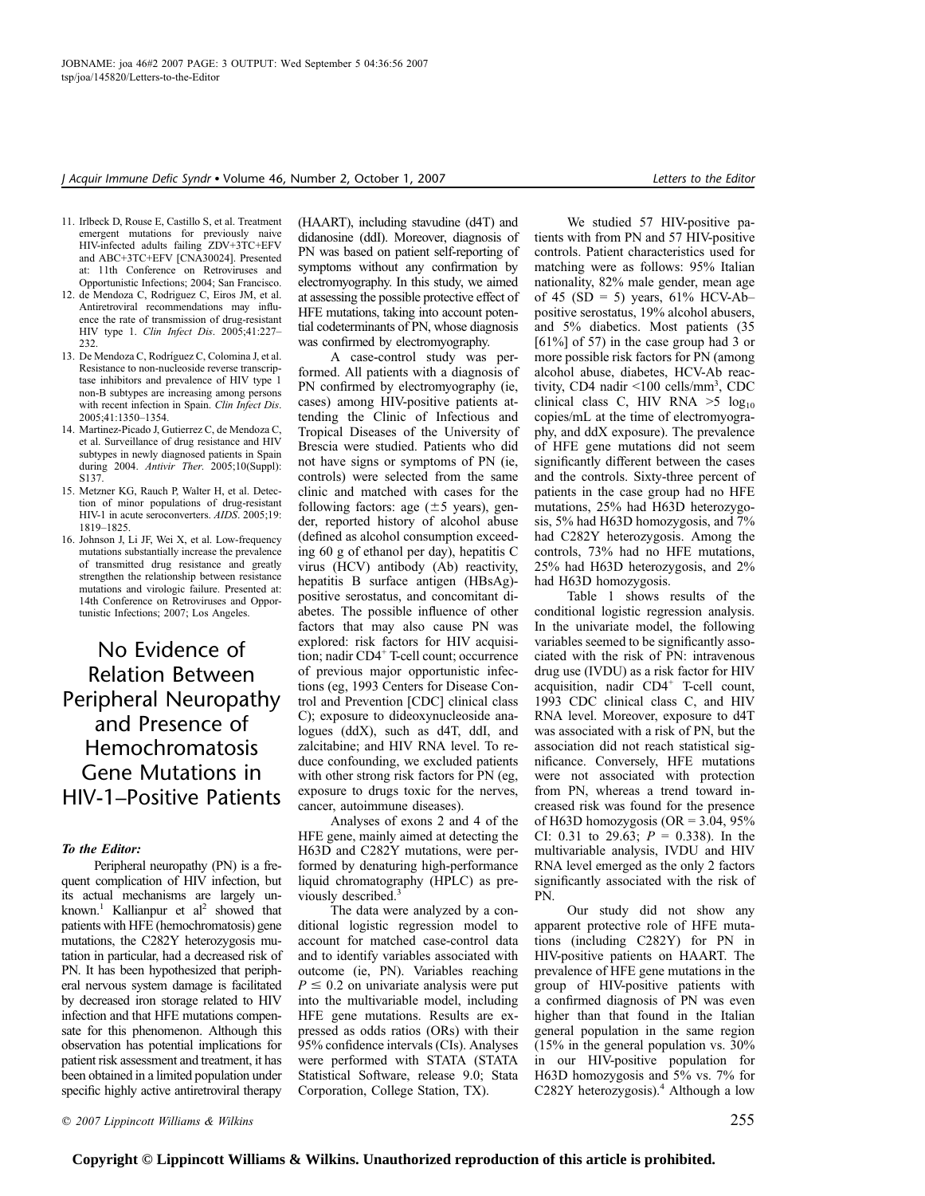- 11. Irlbeck D, Rouse E, Castillo S, et al. Treatment emergent mutations for previously naive HIV-infected adults failing ZDV+3TC+EFV and ABC+3TC+EFV [CNA30024]. Presented at: 11th Conference on Retroviruses and Opportunistic Infections; 2004; San Francisco.
- 12. de Mendoza C, Rodriguez C, Eiros JM, et al. Antiretroviral recommendations may influence the rate of transmission of drug-resistant HIV type 1. Clin Infect Dis. 2005;41:227– 232.
- 13. De Mendoza C, Rodríguez C, Colomina J, et al. Resistance to non-nucleoside reverse transcriptase inhibitors and prevalence of HIV type 1 non-B subtypes are increasing among persons with recent infection in Spain. Clin Infect Dis. 2005;41:1350–1354.
- 14. Martinez-Picado J, Gutierrez C, de Mendoza C, et al. Surveillance of drug resistance and HIV subtypes in newly diagnosed patients in Spain during 2004. Antivir Ther. 2005;10(Suppl): S137.
- 15. Metzner KG, Rauch P, Walter H, et al. Detection of minor populations of drug-resistant HIV-1 in acute seroconverters. AIDS. 2005;19: 1819–1825.
- 16. Johnson J, Li JF, Wei X, et al. Low-frequency mutations substantially increase the prevalence of transmitted drug resistance and greatly strengthen the relationship between resistance mutations and virologic failure. Presented at: 14th Conference on Retroviruses and Opportunistic Infections; 2007; Los Angeles.

# No Evidence of Relation Between Peripheral Neuropathy and Presence of Hemochromatosis Gene Mutations in HIV-1–Positive Patients

### To the Editor:

Peripheral neuropathy (PN) is a frequent complication of HIV infection, but its actual mechanisms are largely unknown.<sup>1</sup> Kallianpur et al<sup>2</sup> showed that patients with HFE (hemochromatosis) gene mutations, the C282Y heterozygosis mutation in particular, had a decreased risk of PN. It has been hypothesized that peripheral nervous system damage is facilitated by decreased iron storage related to HIV infection and that HFE mutations compensate for this phenomenon. Although this observation has potential implications for patient risk assessment and treatment, it has been obtained in a limited population under specific highly active antiretroviral therapy

(HAART), including stavudine (d4T) and didanosine (ddI). Moreover, diagnosis of PN was based on patient self-reporting of symptoms without any confirmation by electromyography. In this study, we aimed at assessing the possible protective effect of HFE mutations, taking into account potential codeterminants of PN, whose diagnosis was confirmed by electromyography.

A case-control study was performed. All patients with a diagnosis of PN confirmed by electromyography (ie, cases) among HIV-positive patients attending the Clinic of Infectious and Tropical Diseases of the University of Brescia were studied. Patients who did not have signs or symptoms of PN (ie, controls) were selected from the same clinic and matched with cases for the following factors: age  $(\pm 5 \text{ years})$ , gender, reported history of alcohol abuse (defined as alcohol consumption exceeding 60 g of ethanol per day), hepatitis C virus (HCV) antibody (Ab) reactivity, hepatitis B surface antigen (HBsAg) positive serostatus, and concomitant diabetes. The possible influence of other factors that may also cause PN was explored: risk factors for HIV acquisition; nadir CD4<sup>+</sup> T-cell count; occurrence of previous major opportunistic infections (eg, 1993 Centers for Disease Control and Prevention [CDC] clinical class C); exposure to dideoxynucleoside analogues (ddX), such as d4T, ddI, and zalcitabine; and HIV RNA level. To reduce confounding, we excluded patients with other strong risk factors for PN (eg, exposure to drugs toxic for the nerves, cancer, autoimmune diseases).

Analyses of exons 2 and 4 of the HFE gene, mainly aimed at detecting the H63D and C282Y mutations, were performed by denaturing high-performance liquid chromatography (HPLC) as previously described.<sup>3</sup>

The data were analyzed by a conditional logistic regression model to account for matched case-control data and to identify variables associated with outcome (ie, PN). Variables reaching  $P \leq 0.2$  on univariate analysis were put into the multivariable model, including HFE gene mutations. Results are expressed as odds ratios (ORs) with their 95% confidence intervals (CIs). Analyses were performed with STATA (STATA Statistical Software, release 9.0; Stata Corporation, College Station, TX).

We studied 57 HIV-positive patients with from PN and 57 HIV-positive controls. Patient characteristics used for matching were as follows: 95% Italian nationality, 82% male gender, mean age of 45 (SD = 5) years,  $61\%$  HCV-Abpositive serostatus, 19% alcohol abusers, and 5% diabetics. Most patients (35 [61%] of 57) in the case group had 3 or more possible risk factors for PN (among alcohol abuse, diabetes, HCV-Ab reactivity, CD4 nadir <100 cells/mm<sup>3</sup>, CDC clinical class C, HIV RNA  $>5$  log<sub>10</sub> copies/mL at the time of electromyography, and ddX exposure). The prevalence of HFE gene mutations did not seem significantly different between the cases and the controls. Sixty-three percent of patients in the case group had no HFE mutations, 25% had H63D heterozygosis, 5% had H63D homozygosis, and 7% had C282Y heterozygosis. Among the controls, 73% had no HFE mutations, 25% had H63D heterozygosis, and 2% had H63D homozygosis.

Table 1 shows results of the conditional logistic regression analysis. In the univariate model, the following variables seemed to be significantly associated with the risk of PN: intravenous drug use (IVDU) as a risk factor for HIV acquisition, nadir  $CD4^+$  T-cell count, 1993 CDC clinical class C, and HIV RNA level. Moreover, exposure to d4T was associated with a risk of PN, but the association did not reach statistical significance. Conversely, HFE mutations were not associated with protection from PN, whereas a trend toward increased risk was found for the presence of H63D homozygosis (OR =  $3.04$ , 95% CI: 0.31 to 29.63;  $P = 0.338$ ). In the multivariable analysis, IVDU and HIV RNA level emerged as the only 2 factors significantly associated with the risk of PN.

Our study did not show any apparent protective role of HFE mutations (including C282Y) for PN in HIV-positive patients on HAART. The prevalence of HFE gene mutations in the group of HIV-positive patients with a confirmed diagnosis of PN was even higher than that found in the Italian general population in the same region (15% in the general population vs. 30% in our HIV-positive population for H63D homozygosis and 5% vs. 7% for C282Y heterozygosis).<sup>4</sup> Although a low

 $\degree$  2007 Lippincott Williams & Wilkins 255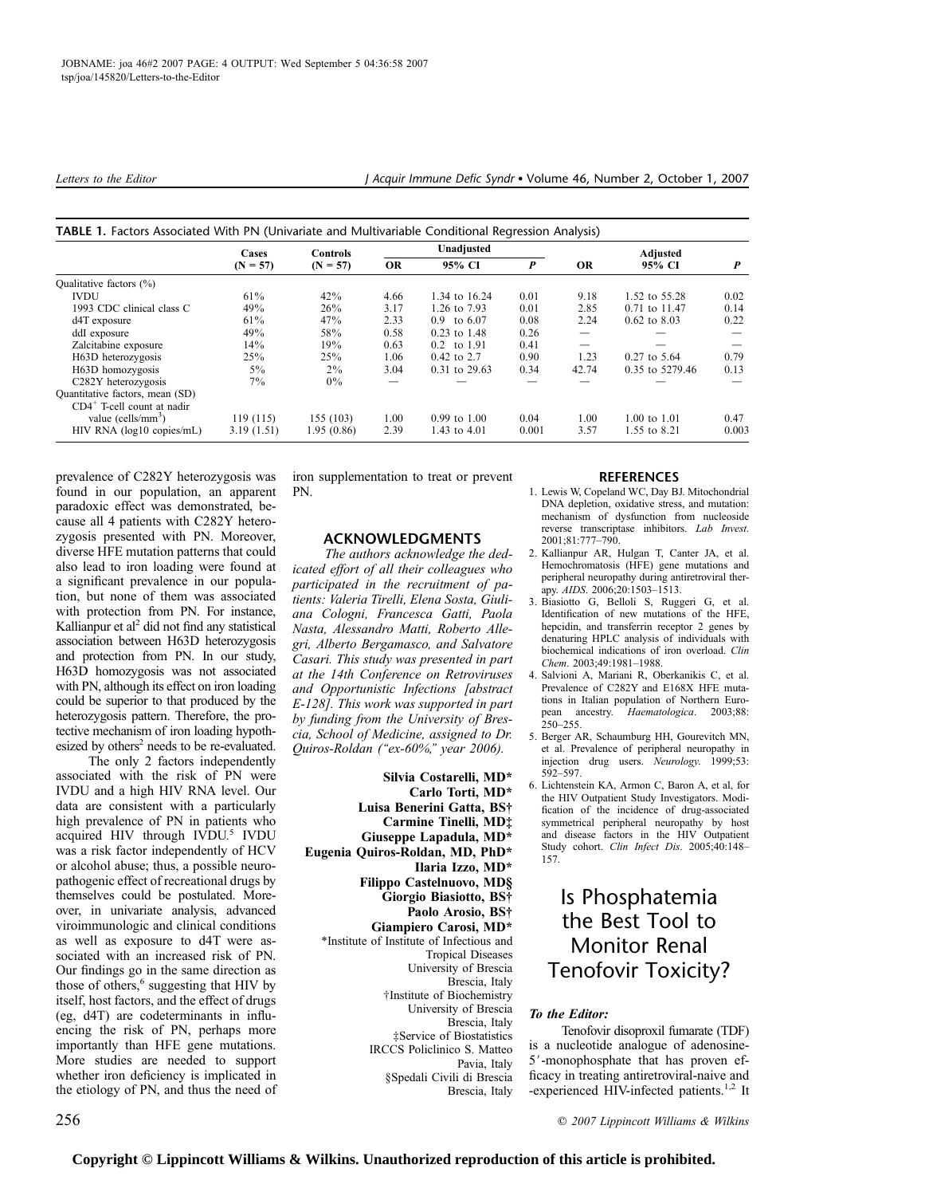|                                  | Cases<br>$(N = 57)$ | <b>Controls</b><br>$(N = 57)$ | Unadjusted |                        |                  | Adjusted  |                  |                  |
|----------------------------------|---------------------|-------------------------------|------------|------------------------|------------------|-----------|------------------|------------------|
|                                  |                     |                               | <b>OR</b>  | 95% CI                 | $\boldsymbol{P}$ | <b>OR</b> | 95% CI           | $\boldsymbol{P}$ |
| Oualitative factors (%)          |                     |                               |            |                        |                  |           |                  |                  |
| <b>IVDU</b>                      | $61\%$              | 42%                           | 4.66       | 1.34 to 16.24          | 0.01             | 9.18      | 1.52 to 55.28    | 0.02             |
| 1993 CDC clinical class C        | 49%                 | 26%                           | 3.17       | 1.26 to 7.93           | 0.01             | 2.85      | 0.71 to 11.47    | 0.14             |
| $d4T$ exposure                   | $61\%$              | 47%                           | 2.33       | $0.9 \text{ to } 6.07$ | 0.08             | 2.24      | $0.62$ to $8.03$ | 0.22             |
| ddI exposure                     | 49%                 | 58%                           | 0.58       | $0.23$ to 1.48         | 0.26             |           |                  |                  |
| Zalcitabine exposure             | 14%                 | 19%                           | 0.63       | 0.2 to 1.91            | 0.41             |           |                  |                  |
| H63D heterozygosis               | 25%                 | 25%                           | 1.06       | 0.42 to 2.7            | 0.90             | 1.23      | $0.27$ to 5.64   | 0.79             |
| H63D homozygosis                 | $5\%$               | $2\%$                         | 3.04       | 0.31 to 29.63          | 0.34             | 42.74     | 0.35 to 5279.46  | 0.13             |
| C <sub>282</sub> Y heterozygosis | $7\%$               | $0\%$                         |            |                        |                  |           |                  |                  |
| Quantitative factors, mean (SD)  |                     |                               |            |                        |                  |           |                  |                  |
| $CD4^+$ T-cell count at nadir    |                     |                               |            |                        |                  |           |                  |                  |
| value (cells/ $mm3$ )            | 119(115)            | 155 (103)                     | 1.00       | $0.99$ to $1.00$       | 0.04             | 1.00      | 1.00 to 1.01     | 0.47             |
| $HIV$ RNA ( $log10$ copies/mL)   | 3.19(1.51)          | 1.95 (0.86)                   | 2.39       | 1.43 to 4.01           | 0.001            | 3.57      | 1.55 to 8.21     | 0.003            |

| TABLE 1. Factors Associated With PN (Univariate and Multivariable Conditional Regression Analysis) |  |  |
|----------------------------------------------------------------------------------------------------|--|--|
|                                                                                                    |  |  |

prevalence of C282Y heterozygosis was found in our population, an apparent paradoxic effect was demonstrated, because all 4 patients with C282Y heterozygosis presented with PN. Moreover, diverse HFE mutation patterns that could also lead to iron loading were found at a significant prevalence in our population, but none of them was associated with protection from PN. For instance, Kallianpur et  $al^2$  did not find any statistical association between H63D heterozygosis and protection from PN. In our study, H63D homozygosis was not associated with PN, although its effect on iron loading could be superior to that produced by the heterozygosis pattern. Therefore, the protective mechanism of iron loading hypothesized by others<sup>2</sup> needs to be re-evaluated.

The only 2 factors independently associated with the risk of PN were IVDU and a high HIV RNA level. Our data are consistent with a particularly high prevalence of PN in patients who acquired HIV through IVDU.<sup>5</sup> IVDU was a risk factor independently of HCV or alcohol abuse; thus, a possible neuropathogenic effect of recreational drugs by themselves could be postulated. Moreover, in univariate analysis, advanced viroimmunologic and clinical conditions as well as exposure to d4T were associated with an increased risk of PN. Our findings go in the same direction as those of others,<sup>6</sup> suggesting that HIV by itself, host factors, and the effect of drugs (eg, d4T) are codeterminants in influencing the risk of PN, perhaps more importantly than HFE gene mutations. More studies are needed to support whether iron deficiency is implicated in the etiology of PN, and thus the need of iron supplementation to treat or prevent PN.

# ACKNOWLEDGMENTS

The authors acknowledge the dedicated effort of all their colleagues who participated in the recruitment of patients: Valeria Tirelli, Elena Sosta, Giuliana Cologni, Francesca Gatti, Paola Nasta, Alessandro Matti, Roberto Allegri, Alberto Bergamasco, and Salvatore Casari. This study was presented in part at the 14th Conference on Retroviruses and Opportunistic Infections [abstract E-128]. This work was supported in part by funding from the University of Brescia, School of Medicine, assigned to Dr. Quiros-Roldan (''ex-60%,'' year 2006).

Silvia Costarelli, MD\* Carlo Torti, MD\* Luisa Benerini Gatta, BS† Carmine Tinelli, MD‡ Giuseppe Lapadula, MD\* Eugenia Quiros-Roldan, MD, PhD\* Ilaria Izzo, MD\* Filippo Castelnuovo, MD§ Giorgio Biasiotto, BS† Paolo Arosio, BS† Giampiero Carosi, MD\* \*Institute of Institute of Infectious and Tropical Diseases University of Brescia Brescia, Italy †Institute of Biochemistry University of Brescia Brescia, Italy ‡Service of Biostatistics IRCCS Policlinico S. Matteo Pavia, Italy §Spedali Civili di Brescia Brescia, Italy

## REFERENCES

- 1. Lewis W, Copeland WC, Day BJ. Mitochondrial DNA depletion, oxidative stress, and mutation: mechanism of dysfunction from nucleoside reverse transcriptase inhibitors. Lab Invest.  $2001:81:777-790$
- 2. Kallianpur AR, Hulgan T, Canter JA, et al. Hemochromatosis (HFE) gene mutations and peripheral neuropathy during antiretroviral therapy. AIDS. 2006;20:1503–1513.
- 3. Biasiotto G, Belloli S, Ruggeri G, et al. Identification of new mutations of the HFE, hepcidin, and transferrin receptor 2 genes by denaturing HPLC analysis of individuals with biochemical indications of iron overload. Clin Chem. 2003;49:1981–1988.
- 4. Salvioni A, Mariani R, Oberkanikis C, et al. Prevalence of C282Y and E168X HFE mutations in Italian population of Northern European ancestry. Haematologica. 2003;88:  $250 - 255$ .
- 5. Berger AR, Schaumburg HH, Gourevitch MN, et al. Prevalence of peripheral neuropathy in injection drug users. Neurology. 1999;53: 592–597.
- 6. Lichtenstein KA, Armon C, Baron A, et al, for the HIV Outpatient Study Investigators. Modification of the incidence of drug-associated symmetrical peripheral neuropathy by host and disease factors in the HIV Outpatient Study cohort. Clin Infect Dis. 2005;40:148– 157.

# Is Phosphatemia the Best Tool to Monitor Renal Tenofovir Toxicity?

# To the Editor:

Tenofovir disoproxil fumarate (TDF) is a nucleotide analogue of adenosine-5'-monophosphate that has proven efficacy in treating antiretroviral-naive and -experienced HIV-infected patients.<sup>1,2</sup> It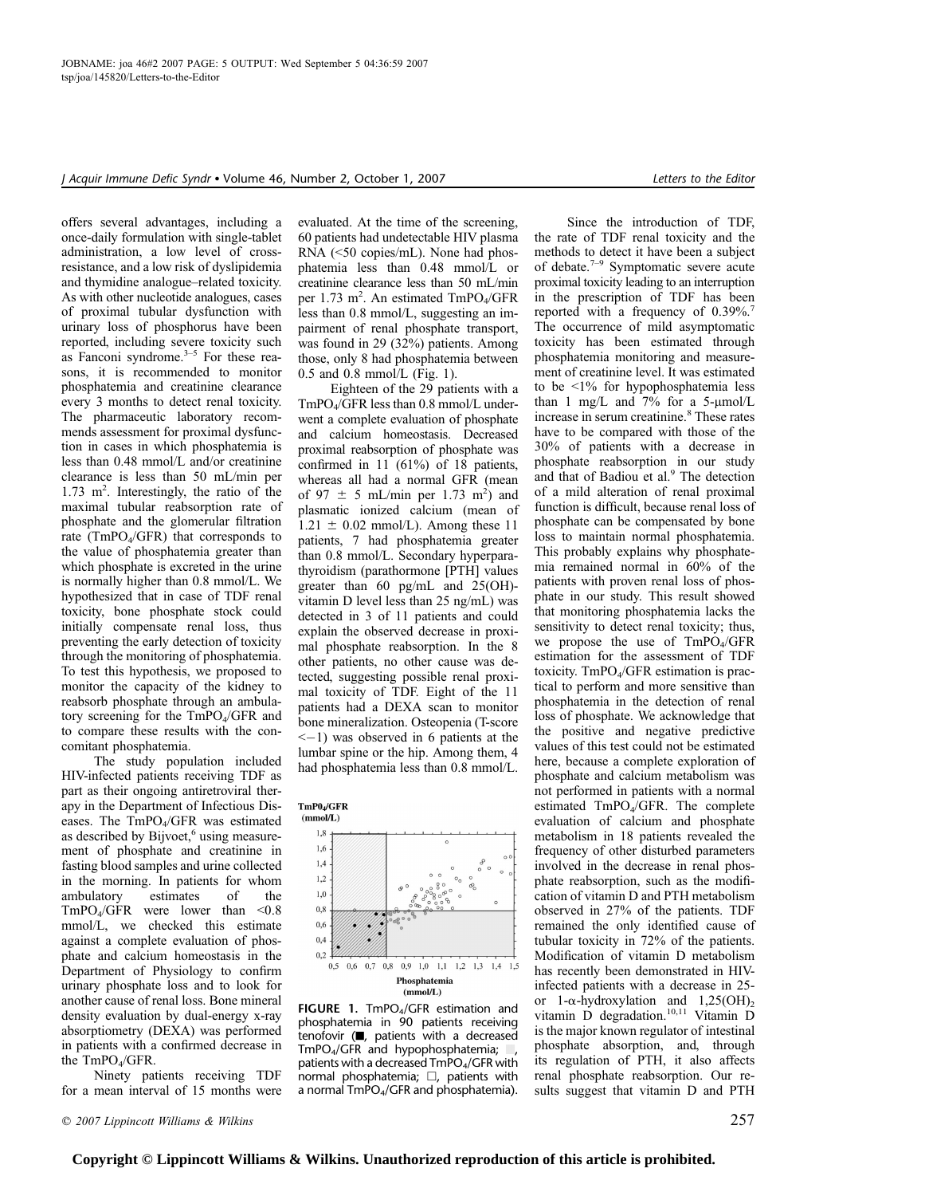offers several advantages, including a once-daily formulation with single-tablet administration, a low level of crossresistance, and a low risk of dyslipidemia and thymidine analogue–related toxicity. As with other nucleotide analogues, cases of proximal tubular dysfunction with urinary loss of phosphorus have been reported, including severe toxicity such as Fanconi syndrome. $3-5$  For these reasons, it is recommended to monitor phosphatemia and creatinine clearance every 3 months to detect renal toxicity. The pharmaceutic laboratory recommends assessment for proximal dysfunction in cases in which phosphatemia is less than 0.48 mmol/L and/or creatinine clearance is less than 50 mL/min per 1.73 m<sup>2</sup>. Interestingly, the ratio of the maximal tubular reabsorption rate of phosphate and the glomerular filtration rate ( $TmPO<sub>4</sub>/GFR$ ) that corresponds to the value of phosphatemia greater than which phosphate is excreted in the urine is normally higher than 0.8 mmol/L. We hypothesized that in case of TDF renal toxicity, bone phosphate stock could initially compensate renal loss, thus preventing the early detection of toxicity through the monitoring of phosphatemia. To test this hypothesis, we proposed to monitor the capacity of the kidney to reabsorb phosphate through an ambulatory screening for the  $TmPO<sub>4</sub>/GFR$  and to compare these results with the concomitant phosphatemia.

The study population included HIV-infected patients receiving TDF as part as their ongoing antiretroviral therapy in the Department of Infectious Diseases. The TmPO<sub>4</sub>/GFR was estimated as described by Bijvoet, $6$  using measurement of phosphate and creatinine in fasting blood samples and urine collected in the morning. In patients for whom ambulatory estimates of the  $TmPO<sub>4</sub>/GFR$  were lower than <0.8 mmol/L, we checked this estimate against a complete evaluation of phosphate and calcium homeostasis in the Department of Physiology to confirm urinary phosphate loss and to look for another cause of renal loss. Bone mineral density evaluation by dual-energy x-ray absorptiometry (DEXA) was performed in patients with a confirmed decrease in the  $TmPO<sub>4</sub>/GFR$ .

Ninety patients receiving TDF for a mean interval of 15 months were evaluated. At the time of the screening, 60 patients had undetectable HIV plasma RNA (<50 copies/mL). None had phosphatemia less than 0.48 mmol/L or creatinine clearance less than 50 mL/min per 1.73 m<sup>2</sup>. An estimated TmPO<sub>4</sub>/GFR less than 0.8 mmol/L, suggesting an impairment of renal phosphate transport, was found in 29 (32%) patients. Among those, only 8 had phosphatemia between 0.5 and 0.8 mmol/L (Fig. 1).

Eighteen of the 29 patients with a  $TmPO<sub>4</sub>/GFR$  less than 0.8 mmol/L underwent a complete evaluation of phosphate and calcium homeostasis. Decreased proximal reabsorption of phosphate was confirmed in 11 (61%) of 18 patients, whereas all had a normal GFR (mean of 97  $\pm$  5 mL/min per 1.73 m<sup>2</sup>) and plasmatic ionized calcium (mean of  $1.21 \pm 0.02$  mmol/L). Among these 11 patients, 7 had phosphatemia greater than 0.8 mmol/L. Secondary hyperparathyroidism (parathormone [PTH] values greater than 60 pg/mL and 25(OH) vitamin D level less than 25 ng/mL) was detected in 3 of 11 patients and could explain the observed decrease in proximal phosphate reabsorption. In the 8 other patients, no other cause was detected, suggesting possible renal proximal toxicity of TDF. Eight of the 11 patients had a DEXA scan to monitor bone mineralization. Osteopenia (T-score  $\leq$  -1) was observed in 6 patients at the lumbar spine or the hip. Among them, 4 had phosphatemia less than 0.8 mmol/L.

TmP04/GFR



FIGURE 1. TmPO<sub>4</sub>/GFR estimation and phosphatemia in 90 patients receiving tenofovir  $(\blacksquare,$  patients with a decreased TmPO<sub>4</sub>/GFR and hypophosphatemia; , patients with a decreased TmPO4/GFR with normal phosphatemia;  $\Box$ , patients with a normal TmPO4/GFR and phosphatemia).

Since the introduction of TDF, the rate of TDF renal toxicity and the methods to detect it have been a subject of debate.7–9 Symptomatic severe acute proximal toxicity leading to an interruption in the prescription of TDF has been reported with a frequency of  $0.39\%$ <sup>7</sup> The occurrence of mild asymptomatic toxicity has been estimated through phosphatemia monitoring and measurement of creatinine level. It was estimated to be <1% for hypophosphatemia less than 1 mg/L and 7% for a  $5-\mu$ mol/L increase in serum creatinine.<sup>8</sup> These rates have to be compared with those of the 30% of patients with a decrease in phosphate reabsorption in our study and that of Badiou et al.<sup>9</sup> The detection of a mild alteration of renal proximal function is difficult, because renal loss of phosphate can be compensated by bone loss to maintain normal phosphatemia. This probably explains why phosphatemia remained normal in 60% of the patients with proven renal loss of phosphate in our study. This result showed that monitoring phosphatemia lacks the sensitivity to detect renal toxicity; thus, we propose the use of TmPO<sub>4</sub>/GFR estimation for the assessment of TDF toxicity. TmPO4/GFR estimation is practical to perform and more sensitive than phosphatemia in the detection of renal loss of phosphate. We acknowledge that the positive and negative predictive values of this test could not be estimated here, because a complete exploration of phosphate and calcium metabolism was not performed in patients with a normal estimated TmPO4/GFR. The complete evaluation of calcium and phosphate metabolism in 18 patients revealed the frequency of other disturbed parameters involved in the decrease in renal phosphate reabsorption, such as the modification of vitamin D and PTH metabolism observed in 27% of the patients. TDF remained the only identified cause of tubular toxicity in 72% of the patients. Modification of vitamin D metabolism has recently been demonstrated in HIVinfected patients with a decrease in 25 or 1- $\alpha$ -hydroxylation and 1,25(OH)<sub>2</sub> vitamin D degradation.<sup>10,11</sup> Vitamin D is the major known regulator of intestinal phosphate absorption, and, through its regulation of PTH, it also affects renal phosphate reabsorption. Our results suggest that vitamin D and PTH

 $\degree$  2007 Lippincott Williams & Wilkins 257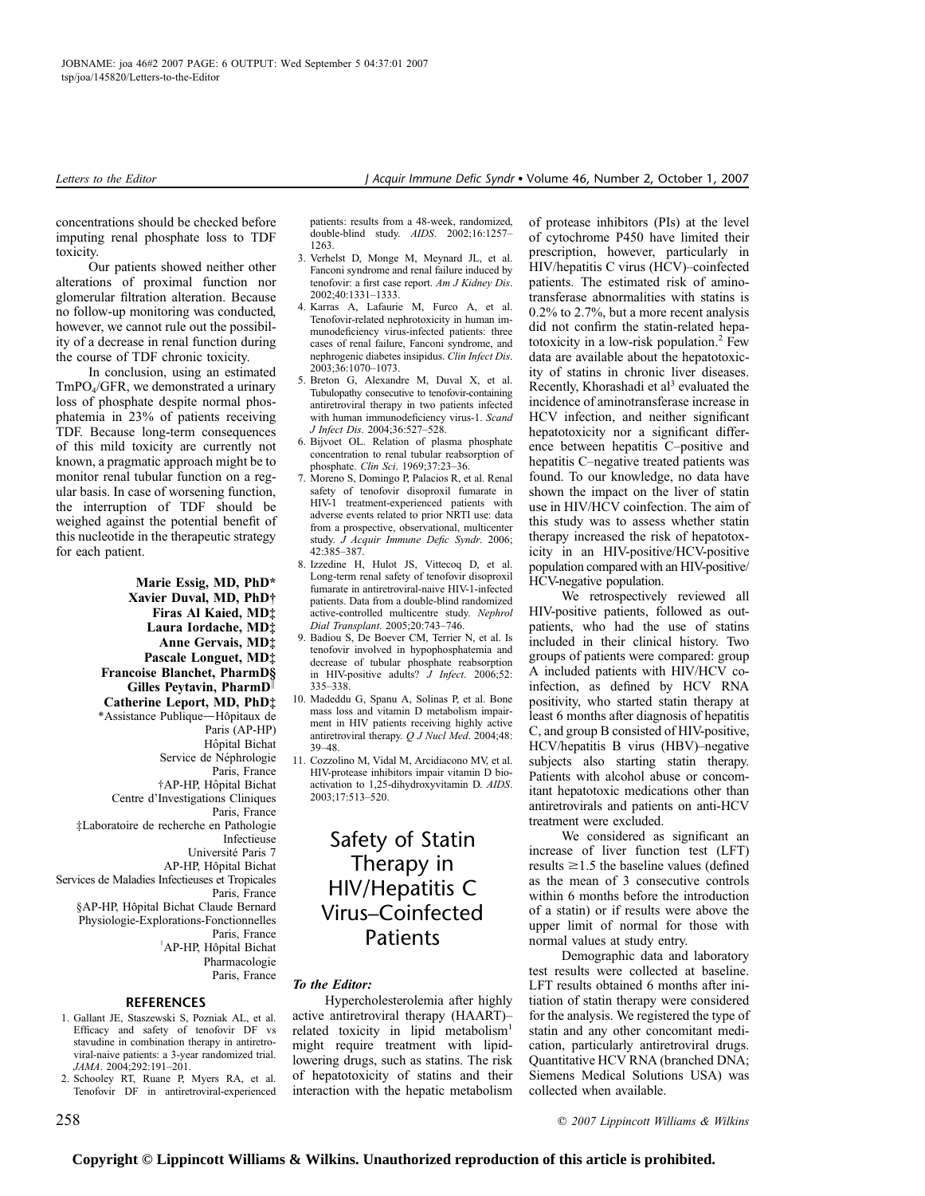concentrations should be checked before imputing renal phosphate loss to TDF toxicity.

Our patients showed neither other alterations of proximal function nor glomerular filtration alteration. Because no follow-up monitoring was conducted, however, we cannot rule out the possibility of a decrease in renal function during the course of TDF chronic toxicity.

In conclusion, using an estimated TmPO4/GFR, we demonstrated a urinary loss of phosphate despite normal phosphatemia in 23% of patients receiving TDF. Because long-term consequences of this mild toxicity are currently not known, a pragmatic approach might be to monitor renal tubular function on a regular basis. In case of worsening function, the interruption of TDF should be weighed against the potential benefit of this nucleotide in the therapeutic strategy for each patient.

> Marie Essig, MD, PhD\* Xavier Duval, MD, PhD† Firas Al Kaied, MD‡ Laura Iordache, MD‡ Anne Gervais, MD‡ Pascale Longuet, MD‡ Francoise Blanchet, PharmD§

Gilles Peytavin, Pharm $D^{\parallel}$ Catherine Leport, MD, PhD‡

\*Assistance Publique-Hôpitaux de Paris (AP-HP) Hôpital Bichat Service de Néphrologie Paris, France †AP-HP, Hoˆpital Bichat Centre d'Investigations Cliniques Paris, France ‡Laboratoire de recherche en Pathologie Infectieuse Université Paris 7 AP-HP, Hôpital Bichat Services de Maladies Infectieuses et Tropicales Paris, France §AP-HP, Hôpital Bichat Claude Bernard Physiologie-Explorations-Fonctionnelles Paris, France <sup>"</sup>AP-HP, Hôpital Bichat Pharmacologie Paris, France

### REFERENCES

- 1. Gallant JE, Staszewski S, Pozniak AL, et al. Efficacy and safety of tenofovir DF vs stavudine in combination therapy in antiretroviral-naive patients: a 3-year randomized trial. JAMA. 2004;292:191–201.
- 2. Schooley RT, Ruane P, Myers RA, et al. Tenofovir DF in antiretroviral-experienced

patients: results from a 48-week, randomized, double-blind study. AIDS. 2002;16:1257– 1263.

- 3. Verhelst D, Monge M, Meynard JL, et al. Fanconi syndrome and renal failure induced by tenofovir: a first case report. Am J Kidney Dis. 2002;40:1331–1333.
- 4. Karras A, Lafaurie M, Furco A, et al. Tenofovir-related nephrotoxicity in human immunodeficiency virus-infected patients: three cases of renal failure, Fanconi syndrome, and nephrogenic diabetes insipidus. Clin Infect Dis. 2003;36:1070–1073.
- 5. Breton G, Alexandre M, Duval X, et al. Tubulopathy consecutive to tenofovir-containing antiretroviral therapy in two patients infected with human immunodeficiency virus-1. Scand J Infect Dis. 2004;36:527–528.
- 6. Bijvoet OL. Relation of plasma phosphate concentration to renal tubular reabsorption of phosphate. Clin Sci. 1969;37:23–36.
- 7. Moreno S, Domingo P, Palacios R, et al. Renal safety of tenofovir disoproxil fumarate in HIV-1 treatment-experienced patients with adverse events related to prior NRTI use: data from a prospective, observational, multicenter study. J Acquir Immune Defic Syndr. 2006; 42:385–387.
- 8. Izzedine H, Hulot JS, Vittecoq D, et al. Long-term renal safety of tenofovir disoproxil fumarate in antiretroviral-naive HIV-1-infected patients. Data from a double-blind randomized active-controlled multicentre study. Nephrol Dial Transplant. 2005;20:743–746.
- 9. Badiou S, De Boever CM, Terrier N, et al. Is tenofovir involved in hypophosphatemia and decrease of tubular phosphate reabsorption in HIV-positive adults? *J Infect.* 2006;52: 335–338.
- 10. Madeddu G, Spanu A, Solinas P, et al. Bone mass loss and vitamin D metabolism impairment in HIV patients receiving highly active antiretroviral therapy. Q J Nucl Med. 2004;48: 39–48.
- 11. Cozzolino M, Vidal M, Arcidiacono MV, et al. HIV-protease inhibitors impair vitamin D bioactivation to 1,25-dihydroxyvitamin D. AIDS. 2003;17:513–520.

# Safety of Statin Therapy in HIV/Hepatitis C Virus–Coinfected **Patients**

### To the Editor:

Hypercholesterolemia after highly active antiretroviral therapy (HAART)– related toxicity in lipid metabolism<sup>1</sup> might require treatment with lipidlowering drugs, such as statins. The risk of hepatotoxicity of statins and their interaction with the hepatic metabolism

of protease inhibitors (PIs) at the level of cytochrome P450 have limited their prescription, however, particularly in HIV/hepatitis C virus (HCV)–coinfected patients. The estimated risk of aminotransferase abnormalities with statins is 0.2% to 2.7%, but a more recent analysis did not confirm the statin-related hepatotoxicity in a low-risk population.2 Few data are available about the hepatotoxicity of statins in chronic liver diseases. Recently, Khorashadi et al<sup>3</sup> evaluated the incidence of aminotransferase increase in HCV infection, and neither significant hepatotoxicity nor a significant difference between hepatitis C–positive and hepatitis C–negative treated patients was found. To our knowledge, no data have shown the impact on the liver of statin use in HIV/HCV coinfection. The aim of this study was to assess whether statin therapy increased the risk of hepatotoxicity in an HIV-positive/HCV-positive population compared with an HIV-positive/ HCV-negative population.

We retrospectively reviewed all HIV-positive patients, followed as outpatients, who had the use of statins included in their clinical history. Two groups of patients were compared: group A included patients with HIV/HCV coinfection, as defined by HCV RNA positivity, who started statin therapy at least 6 months after diagnosis of hepatitis C, and group B consisted of HIV-positive, HCV/hepatitis B virus (HBV)–negative subjects also starting statin therapy. Patients with alcohol abuse or concomitant hepatotoxic medications other than antiretrovirals and patients on anti-HCV treatment were excluded.

We considered as significant an increase of liver function test (LFT) results  $\geq$ 1.5 the baseline values (defined as the mean of 3 consecutive controls within 6 months before the introduction of a statin) or if results were above the upper limit of normal for those with normal values at study entry.

Demographic data and laboratory test results were collected at baseline. LFT results obtained 6 months after initiation of statin therapy were considered for the analysis. We registered the type of statin and any other concomitant medication, particularly antiretroviral drugs. Quantitative HCV RNA (branched DNA; Siemens Medical Solutions USA) was collected when available.

# **Copyright © Lippincott Williams & Wilkins. Unauthorized reproduction of this article is prohibited.**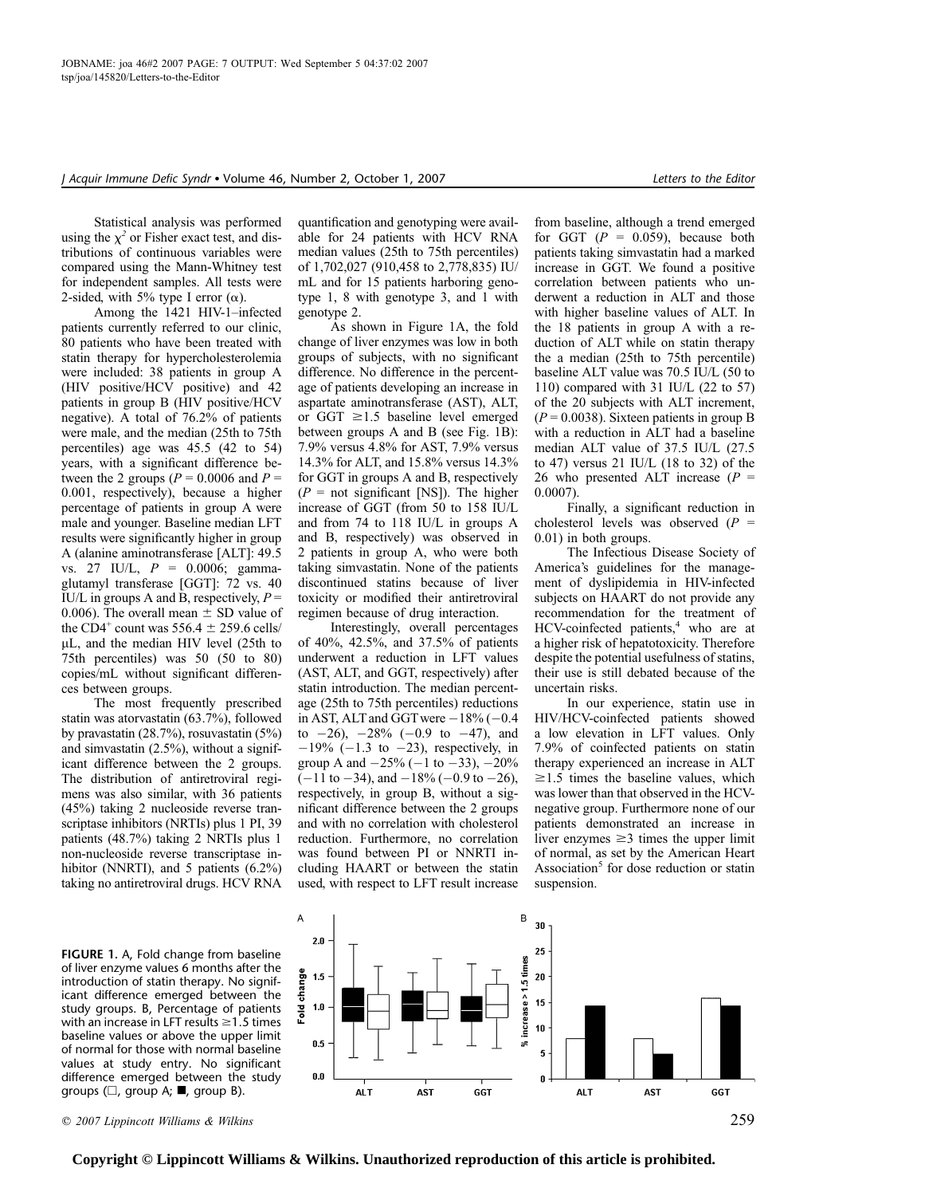Statistical analysis was performed using the  $\chi^2$  or Fisher exact test, and distributions of continuous variables were compared using the Mann-Whitney test for independent samples. All tests were 2-sided, with 5% type I error  $(\alpha)$ .

Among the 1421 HIV-1–infected patients currently referred to our clinic, 80 patients who have been treated with statin therapy for hypercholesterolemia were included: 38 patients in group A (HIV positive/HCV positive) and 42 patients in group B (HIV positive/HCV negative). A total of 76.2% of patients were male, and the median (25th to 75th percentiles) age was 45.5 (42 to 54) years, with a significant difference between the 2 groups ( $P = 0.0006$  and  $P =$ 0.001, respectively), because a higher percentage of patients in group A were male and younger. Baseline median LFT results were significantly higher in group A (alanine aminotransferase [ALT]: 49.5 vs. 27 IU/L, P = 0.0006; gammaglutamyl transferase [GGT]: 72 vs. 40 IU/L in groups A and B, respectively,  $P =$ 0.006). The overall mean  $\pm$  SD value of the CD4<sup>+</sup> count was 556.4  $\pm$  259.6 cells/  $\mu$ L, and the median HIV level (25th to 75th percentiles) was 50 (50 to 80) copies/mL without significant differences between groups.

The most frequently prescribed statin was atorvastatin (63.7%), followed by pravastatin (28.7%), rosuvastatin (5%) and simvastatin (2.5%), without a significant difference between the 2 groups. The distribution of antiretroviral regimens was also similar, with 36 patients (45%) taking 2 nucleoside reverse transcriptase inhibitors (NRTIs) plus 1 PI, 39 patients (48.7%) taking 2 NRTIs plus 1 non-nucleoside reverse transcriptase inhibitor (NNRTI), and 5 patients (6.2%) taking no antiretroviral drugs. HCV RNA

FIGURE 1. A, Fold change from baseline of liver enzyme values 6 months after the introduction of statin therapy. No significant difference emerged between the study groups. B, Percentage of patients with an increase in LFT results  $\geq$  1.5 times baseline values or above the upper limit of normal for those with normal baseline values at study entry. No significant difference emerged between the study groups ( $\square$ , group A;  $\blacksquare$ , group B).

quantification and genotyping were available for 24 patients with HCV RNA median values (25th to 75th percentiles) of 1,702,027 (910,458 to 2,778,835) IU/ mL and for 15 patients harboring genotype 1, 8 with genotype 3, and 1 with

genotype 2. As shown in Figure 1A, the fold change of liver enzymes was low in both groups of subjects, with no significant difference. No difference in the percentage of patients developing an increase in aspartate aminotransferase (AST), ALT, or GGT  $\geq$ 1.5 baseline level emerged between groups A and B (see Fig. 1B): 7.9% versus 4.8% for AST, 7.9% versus 14.3% for ALT, and 15.8% versus 14.3% for GGT in groups A and B, respectively  $(P = \text{not significant [NS]})$ . The higher increase of GGT (from 50 to 158 IU/L and from 74 to 118 IU/L in groups A and B, respectively) was observed in 2 patients in group A, who were both taking simvastatin. None of the patients discontinued statins because of liver toxicity or modified their antiretroviral regimen because of drug interaction.

Interestingly, overall percentages of 40%, 42.5%, and 37.5% of patients underwent a reduction in LFT values (AST, ALT, and GGT, respectively) after statin introduction. The median percentage (25th to 75th percentiles) reductions in AST, ALT and GGT were  $-18\%$  ( $-0.4$ ) to  $-26$ ),  $-28\%$  ( $-0.9$  to  $-47$ ), and  $-19\%$  ( $-1.3$  to  $-23$ ), respectively, in group A and  $-25\%$  ( $-1$  to  $-33$ ),  $-20\%$  $(-11$  to  $-34$ ), and  $-18\%$  ( $-0.9$  to  $-26$ ), respectively, in group B, without a significant difference between the 2 groups and with no correlation with cholesterol reduction. Furthermore, no correlation was found between PI or NNRTI including HAART or between the statin used, with respect to LFT result increase

from baseline, although a trend emerged for GGT  $(P = 0.059)$ , because both patients taking simvastatin had a marked increase in GGT. We found a positive correlation between patients who underwent a reduction in ALT and those with higher baseline values of ALT. In the 18 patients in group A with a reduction of ALT while on statin therapy the a median (25th to 75th percentile) baseline ALT value was 70.5 IU/L (50 to 110) compared with 31 IU/L (22 to 57) of the 20 subjects with ALT increment,  $(P = 0.0038)$ . Sixteen patients in group B with a reduction in ALT had a baseline median ALT value of 37.5 IU/L (27.5 to 47) versus 21 IU/L (18 to 32) of the 26 who presented ALT increase  $(P =$ 0.0007).

Finally, a significant reduction in cholesterol levels was observed  $(P =$ 0.01) in both groups.

The Infectious Disease Society of America's guidelines for the management of dyslipidemia in HIV-infected subjects on HAART do not provide any recommendation for the treatment of  $HCV$ -coinfected patients, $4$  who are at a higher risk of hepatotoxicity. Therefore despite the potential usefulness of statins, their use is still debated because of the uncertain risks.

In our experience, statin use in HIV/HCV-coinfected patients showed a low elevation in LFT values. Only 7.9% of coinfected patients on statin therapy experienced an increase in ALT  $\geq$ 1.5 times the baseline values, which was lower than that observed in the HCVnegative group. Furthermore none of our patients demonstrated an increase in liver enzymes  $\geq$ 3 times the upper limit of normal, as set by the American Heart Association $<sup>5</sup>$  for dose reduction or statin</sup> suspension.